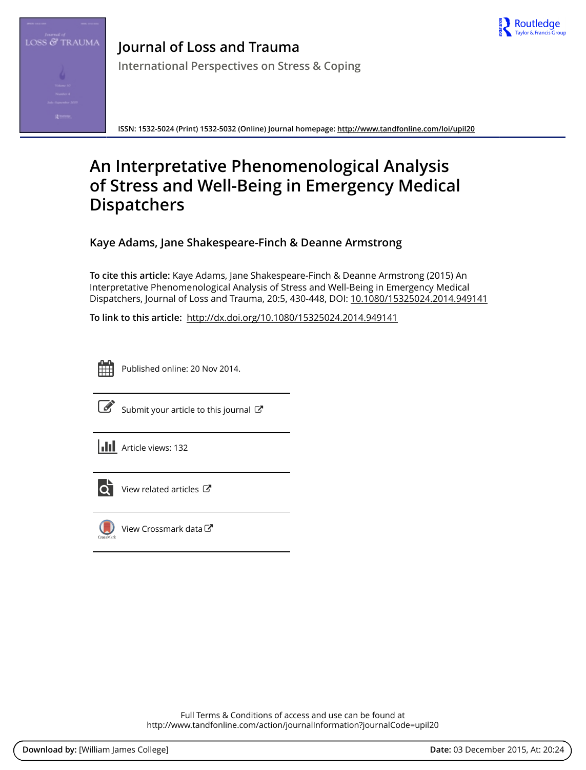



**Journal of Loss and Trauma International Perspectives on Stress & Coping**

**ISSN: 1532-5024 (Print) 1532-5032 (Online) Journal homepage:<http://www.tandfonline.com/loi/upil20>**

# **An Interpretative Phenomenological Analysis of Stress and Well-Being in Emergency Medical Dispatchers**

**Kaye Adams, Jane Shakespeare-Finch & Deanne Armstrong**

**To cite this article:** Kaye Adams, Jane Shakespeare-Finch & Deanne Armstrong (2015) An Interpretative Phenomenological Analysis of Stress and Well-Being in Emergency Medical Dispatchers, Journal of Loss and Trauma, 20:5, 430-448, DOI: [10.1080/15325024.2014.949141](http://www.tandfonline.com/action/showCitFormats?doi=10.1080/15325024.2014.949141)

**To link to this article:** <http://dx.doi.org/10.1080/15325024.2014.949141>



Published online: 20 Nov 2014.



[Submit your article to this journal](http://www.tandfonline.com/action/authorSubmission?journalCode=upil20&page=instructions)  $\mathbb{Z}$ 



 $\overrightarrow{Q}$  [View related articles](http://www.tandfonline.com/doi/mlt/10.1080/15325024.2014.949141)  $\overrightarrow{C}$ 



[View Crossmark data](http://crossmark.crossref.org/dialog/?doi=10.1080/15325024.2014.949141&domain=pdf&date_stamp=2014-11-20)  $\sigma$ 

Full Terms & Conditions of access and use can be found at <http://www.tandfonline.com/action/journalInformation?journalCode=upil20>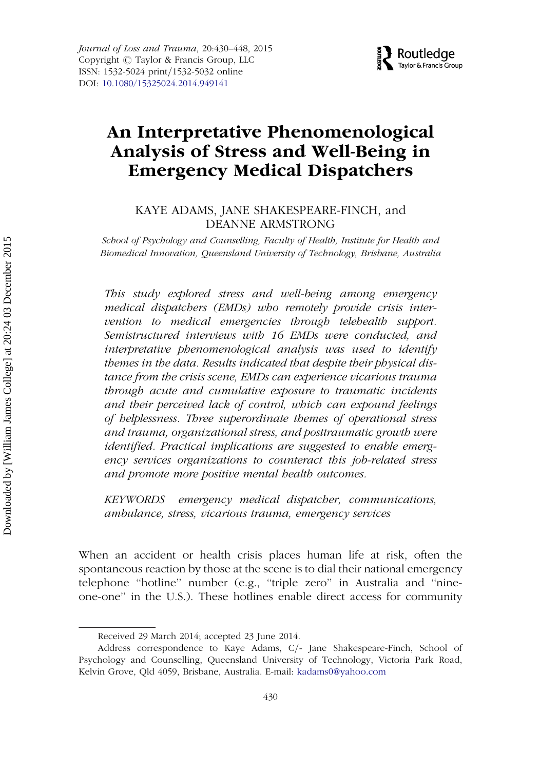

# An Interpretative Phenomenological Analysis of Stress and Well-Being in Emergency Medical Dispatchers

KAYE ADAMS, JANE SHAKESPEARE-FINCH, and DEANNE ARMSTRONG

School of Psychology and Counselling, Faculty of Health, Institute for Health and Biomedical Innovation, Queensland University of Technology, Brisbane, Australia

This study explored stress and well-being among emergency medical dispatchers (EMDs) who remotely provide crisis intervention to medical emergencies through telehealth support. Semistructured interviews with 16 EMDs were conducted, and interpretative phenomenological analysis was used to identify themes in the data. Results indicated that despite their physical distance from the crisis scene, EMDs can experience vicarious trauma through acute and cumulative exposure to traumatic incidents and their perceived lack of control, which can expound feelings of helplessness. Three superordinate themes of operational stress and trauma, organizational stress, and posttraumatic growth were identified. Practical implications are suggested to enable emergency services organizations to counteract this job-related stress and promote more positive mental health outcomes.

KEYWORDS emergency medical dispatcher, communications, ambulance, stress, vicarious trauma, emergency services

When an accident or health crisis places human life at risk, often the spontaneous reaction by those at the scene is to dial their national emergency telephone ''hotline'' number (e.g., ''triple zero'' in Australia and ''nineone-one'' in the U.S.). These hotlines enable direct access for community

Received 29 March 2014; accepted 23 June 2014.

Address correspondence to Kaye Adams, C/- Jane Shakespeare-Finch, School of Psychology and Counselling, Queensland University of Technology, Victoria Park Road, Kelvin Grove, Qld 4059, Brisbane, Australia. E-mail: [kadams0@yahoo.com](mailto:kadams0@yahoo.com)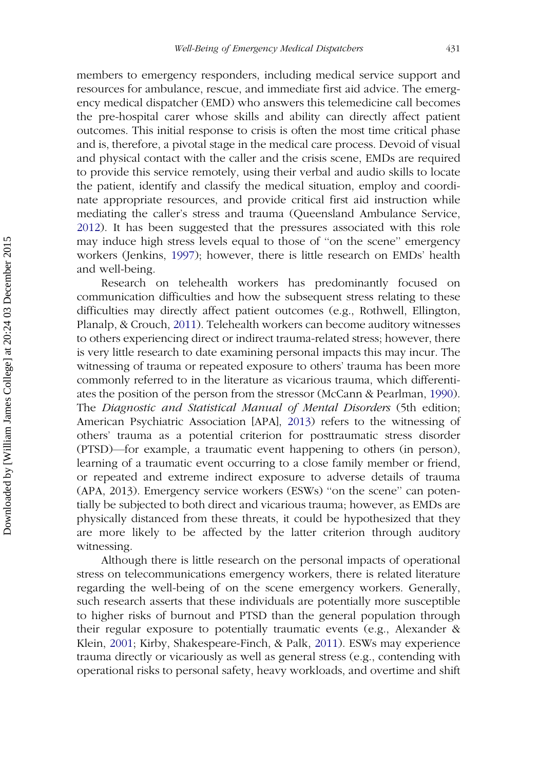members to emergency responders, including medical service support and resources for ambulance, rescue, and immediate first aid advice. The emergency medical dispatcher (EMD) who answers this telemedicine call becomes the pre-hospital carer whose skills and ability can directly affect patient outcomes. This initial response to crisis is often the most time critical phase and is, therefore, a pivotal stage in the medical care process. Devoid of visual and physical contact with the caller and the crisis scene, EMDs are required to provide this service remotely, using their verbal and audio skills to locate the patient, identify and classify the medical situation, employ and coordinate appropriate resources, and provide critical first aid instruction while mediating the caller's stress and trauma (Queensland Ambulance Service, [2012\)](#page-18-0). It has been suggested that the pressures associated with this role may induce high stress levels equal to those of ''on the scene'' emergency workers (Jenkins, [1997\)](#page-17-0); however, there is little research on EMDs' health and well-being.

Research on telehealth workers has predominantly focused on communication difficulties and how the subsequent stress relating to these difficulties may directly affect patient outcomes (e.g., Rothwell, Ellington, Planalp, & Crouch, [2011\)](#page-18-0). Telehealth workers can become auditory witnesses to others experiencing direct or indirect trauma-related stress; however, there is very little research to date examining personal impacts this may incur. The witnessing of trauma or repeated exposure to others' trauma has been more commonly referred to in the literature as vicarious trauma, which differentiates the position of the person from the stressor (McCann & Pearlman, [1990\)](#page-18-0). The Diagnostic and Statistical Manual of Mental Disorders (5th edition; American Psychiatric Association [APA], [2013\)](#page-17-0) refers to the witnessing of others' trauma as a potential criterion for posttraumatic stress disorder (PTSD)—for example, a traumatic event happening to others (in person), learning of a traumatic event occurring to a close family member or friend, or repeated and extreme indirect exposure to adverse details of trauma (APA, 2013). Emergency service workers (ESWs) ''on the scene'' can potentially be subjected to both direct and vicarious trauma; however, as EMDs are physically distanced from these threats, it could be hypothesized that they are more likely to be affected by the latter criterion through auditory witnessing.

Although there is little research on the personal impacts of operational stress on telecommunications emergency workers, there is related literature regarding the well-being of on the scene emergency workers. Generally, such research asserts that these individuals are potentially more susceptible to higher risks of burnout and PTSD than the general population through their regular exposure to potentially traumatic events (e.g., Alexander & Klein, [2001](#page-17-0); Kirby, Shakespeare-Finch, & Palk, [2011](#page-17-0)). ESWs may experience trauma directly or vicariously as well as general stress (e.g., contending with operational risks to personal safety, heavy workloads, and overtime and shift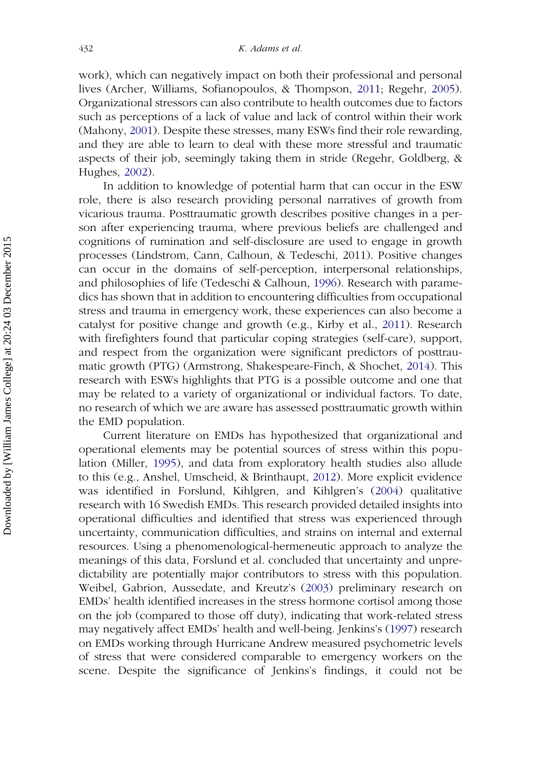work), which can negatively impact on both their professional and personal lives (Archer, Williams, Sofianopoulos, & Thompson, [2011;](#page-17-0) Regehr, [2005](#page-18-0)). Organizational stressors can also contribute to health outcomes due to factors such as perceptions of a lack of value and lack of control within their work (Mahony, [2001](#page-18-0)). Despite these stresses, many ESWs find their role rewarding, and they are able to learn to deal with these more stressful and traumatic aspects of their job, seemingly taking them in stride (Regehr, Goldberg, & Hughes, [2002\)](#page-18-0).

In addition to knowledge of potential harm that can occur in the ESW role, there is also research providing personal narratives of growth from vicarious trauma. Posttraumatic growth describes positive changes in a person after experiencing trauma, where previous beliefs are challenged and cognitions of rumination and self-disclosure are used to engage in growth processes (Lindstrom, Cann, Calhoun, & Tedeschi, 2011). Positive changes can occur in the domains of self-perception, interpersonal relationships, and philosophies of life (Tedeschi & Calhoun, [1996\)](#page-18-0). Research with paramedics has shown that in addition to encountering difficulties from occupational stress and trauma in emergency work, these experiences can also become a catalyst for positive change and growth (e.g., Kirby et al., [2011](#page-17-0)). Research with firefighters found that particular coping strategies (self-care), support, and respect from the organization were significant predictors of posttraumatic growth (PTG) (Armstrong, Shakespeare-Finch, & Shochet, [2014](#page-17-0)). This research with ESWs highlights that PTG is a possible outcome and one that may be related to a variety of organizational or individual factors. To date, no research of which we are aware has assessed posttraumatic growth within the EMD population.

Current literature on EMDs has hypothesized that organizational and operational elements may be potential sources of stress within this population (Miller, [1995\)](#page-18-0), and data from exploratory health studies also allude to this (e.g., Anshel, Umscheid, & Brinthaupt, [2012](#page-17-0)). More explicit evidence was identified in Forslund, Kihlgren, and Kihlgren's ([2004\)](#page-17-0) qualitative research with 16 Swedish EMDs. This research provided detailed insights into operational difficulties and identified that stress was experienced through uncertainty, communication difficulties, and strains on internal and external resources. Using a phenomenological-hermeneutic approach to analyze the meanings of this data, Forslund et al. concluded that uncertainty and unpredictability are potentially major contributors to stress with this population. Weibel, Gabrion, Aussedate, and Kreutz's ([2003](#page-18-0)) preliminary research on EMDs' health identified increases in the stress hormone cortisol among those on the job (compared to those off duty), indicating that work-related stress may negatively affect EMDs' health and well-being. Jenkins's [\(1997](#page-17-0)) research on EMDs working through Hurricane Andrew measured psychometric levels of stress that were considered comparable to emergency workers on the scene. Despite the significance of Jenkins's findings, it could not be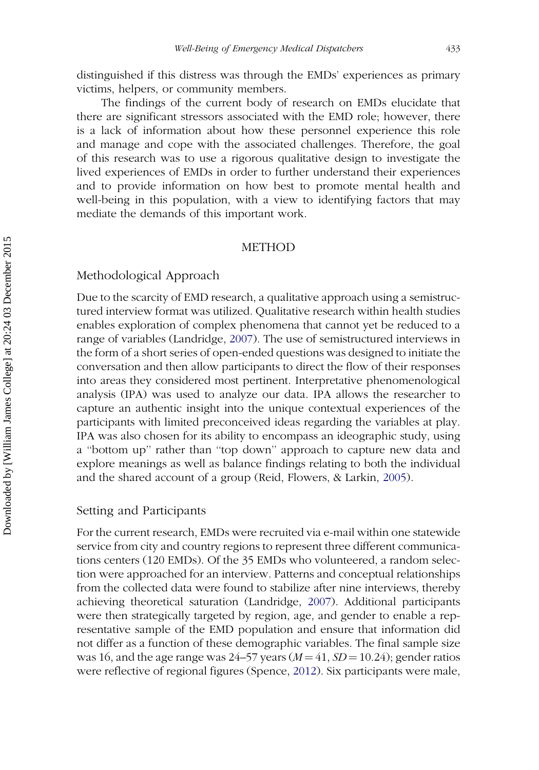distinguished if this distress was through the EMDs' experiences as primary victims, helpers, or community members.

The findings of the current body of research on EMDs elucidate that there are significant stressors associated with the EMD role; however, there is a lack of information about how these personnel experience this role and manage and cope with the associated challenges. Therefore, the goal of this research was to use a rigorous qualitative design to investigate the lived experiences of EMDs in order to further understand their experiences and to provide information on how best to promote mental health and well-being in this population, with a view to identifying factors that may mediate the demands of this important work.

#### METHOD

# Methodological Approach

Due to the scarcity of EMD research, a qualitative approach using a semistructured interview format was utilized. Qualitative research within health studies enables exploration of complex phenomena that cannot yet be reduced to a range of variables (Landridge, [2007](#page-17-0)). The use of semistructured interviews in the form of a short series of open-ended questions was designed to initiate the conversation and then allow participants to direct the flow of their responses into areas they considered most pertinent. Interpretative phenomenological analysis (IPA) was used to analyze our data. IPA allows the researcher to capture an authentic insight into the unique contextual experiences of the participants with limited preconceived ideas regarding the variables at play. IPA was also chosen for its ability to encompass an ideographic study, using a ''bottom up'' rather than ''top down'' approach to capture new data and explore meanings as well as balance findings relating to both the individual and the shared account of a group (Reid, Flowers, & Larkin, [2005\)](#page-18-0).

# Setting and Participants

For the current research, EMDs were recruited via e-mail within one statewide service from city and country regions to represent three different communications centers (120 EMDs). Of the 35 EMDs who volunteered, a random selection were approached for an interview. Patterns and conceptual relationships from the collected data were found to stabilize after nine interviews, thereby achieving theoretical saturation (Landridge, [2007\)](#page-17-0). Additional participants were then strategically targeted by region, age, and gender to enable a representative sample of the EMD population and ensure that information did not differ as a function of these demographic variables. The final sample size was 16, and the age range was 24–57 years  $(M = 41, SD = 10.24)$ ; gender ratios were reflective of regional figures (Spence, [2012\)](#page-18-0). Six participants were male,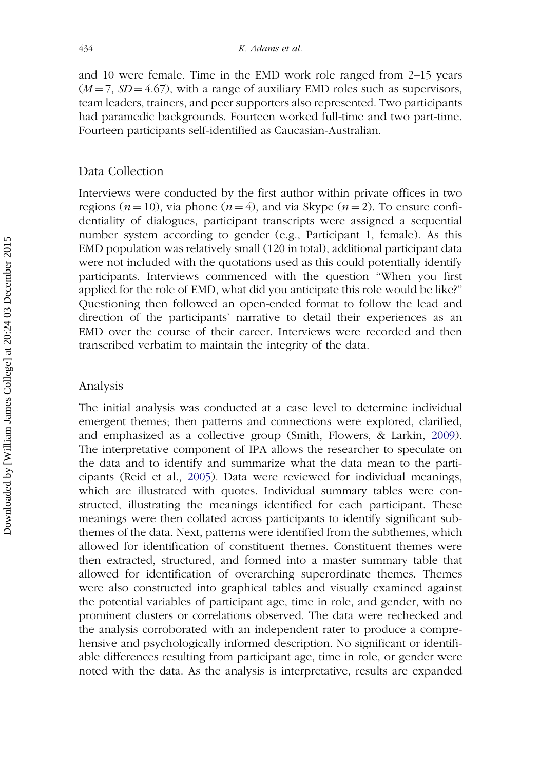and 10 were female. Time in the EMD work role ranged from 2–15 years  $(M = 7, SD = 4.67)$ , with a range of auxiliary EMD roles such as supervisors, team leaders, trainers, and peer supporters also represented. Two participants had paramedic backgrounds. Fourteen worked full-time and two part-time. Fourteen participants self-identified as Caucasian-Australian.

# Data Collection

Interviews were conducted by the first author within private offices in two regions ( $n = 10$ ), via phone ( $n = 4$ ), and via Skype ( $n = 2$ ). To ensure confidentiality of dialogues, participant transcripts were assigned a sequential number system according to gender (e.g., Participant 1, female). As this EMD population was relatively small (120 in total), additional participant data were not included with the quotations used as this could potentially identify participants. Interviews commenced with the question ''When you first applied for the role of EMD, what did you anticipate this role would be like?'' Questioning then followed an open-ended format to follow the lead and direction of the participants' narrative to detail their experiences as an EMD over the course of their career. Interviews were recorded and then transcribed verbatim to maintain the integrity of the data.

#### Analysis

The initial analysis was conducted at a case level to determine individual emergent themes; then patterns and connections were explored, clarified, and emphasized as a collective group (Smith, Flowers, & Larkin, [2009](#page-18-0)). The interpretative component of IPA allows the researcher to speculate on the data and to identify and summarize what the data mean to the participants (Reid et al., [2005](#page-18-0)). Data were reviewed for individual meanings, which are illustrated with quotes. Individual summary tables were constructed, illustrating the meanings identified for each participant. These meanings were then collated across participants to identify significant subthemes of the data. Next, patterns were identified from the subthemes, which allowed for identification of constituent themes. Constituent themes were then extracted, structured, and formed into a master summary table that allowed for identification of overarching superordinate themes. Themes were also constructed into graphical tables and visually examined against the potential variables of participant age, time in role, and gender, with no prominent clusters or correlations observed. The data were rechecked and the analysis corroborated with an independent rater to produce a comprehensive and psychologically informed description. No significant or identifiable differences resulting from participant age, time in role, or gender were noted with the data. As the analysis is interpretative, results are expanded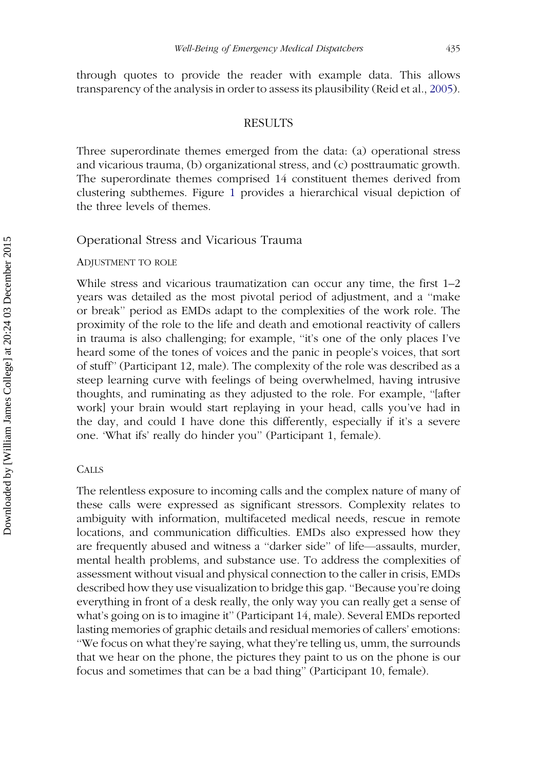through quotes to provide the reader with example data. This allows transparency of the analysis in order to assess its plausibility (Reid et al., [2005\)](#page-18-0).

# **RESULTS**

Three superordinate themes emerged from the data: (a) operational stress and vicarious trauma, (b) organizational stress, and (c) posttraumatic growth. The superordinate themes comprised 14 constituent themes derived from clustering subthemes. Figure [1](#page-7-0) provides a hierarchical visual depiction of the three levels of themes.

# Operational Stress and Vicarious Trauma

#### ADJUSTMENT TO ROLE

While stress and vicarious traumatization can occur any time, the first 1–2 years was detailed as the most pivotal period of adjustment, and a ''make or break'' period as EMDs adapt to the complexities of the work role. The proximity of the role to the life and death and emotional reactivity of callers in trauma is also challenging; for example, ''it's one of the only places I've heard some of the tones of voices and the panic in people's voices, that sort of stuff'' (Participant 12, male). The complexity of the role was described as a steep learning curve with feelings of being overwhelmed, having intrusive thoughts, and ruminating as they adjusted to the role. For example, ''[after work] your brain would start replaying in your head, calls you've had in the day, and could I have done this differently, especially if it's a severe one. 'What ifs' really do hinder you'' (Participant 1, female).

#### CALLS

The relentless exposure to incoming calls and the complex nature of many of these calls were expressed as significant stressors. Complexity relates to ambiguity with information, multifaceted medical needs, rescue in remote locations, and communication difficulties. EMDs also expressed how they are frequently abused and witness a ''darker side'' of life—assaults, murder, mental health problems, and substance use. To address the complexities of assessment without visual and physical connection to the caller in crisis, EMDs described how they use visualization to bridge this gap. ''Because you're doing everything in front of a desk really, the only way you can really get a sense of what's going on is to imagine it'' (Participant 14, male). Several EMDs reported lasting memories of graphic details and residual memories of callers' emotions: ''We focus on what they're saying, what they're telling us, umm, the surrounds that we hear on the phone, the pictures they paint to us on the phone is our focus and sometimes that can be a bad thing'' (Participant 10, female).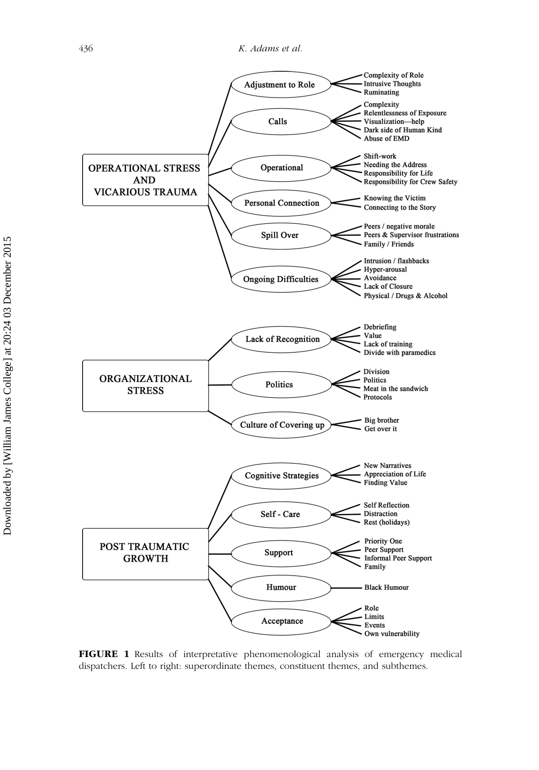<span id="page-7-0"></span>

FIGURE 1 Results of interpretative phenomenological analysis of emergency medical dispatchers. Left to right: superordinate themes, constituent themes, and subthemes.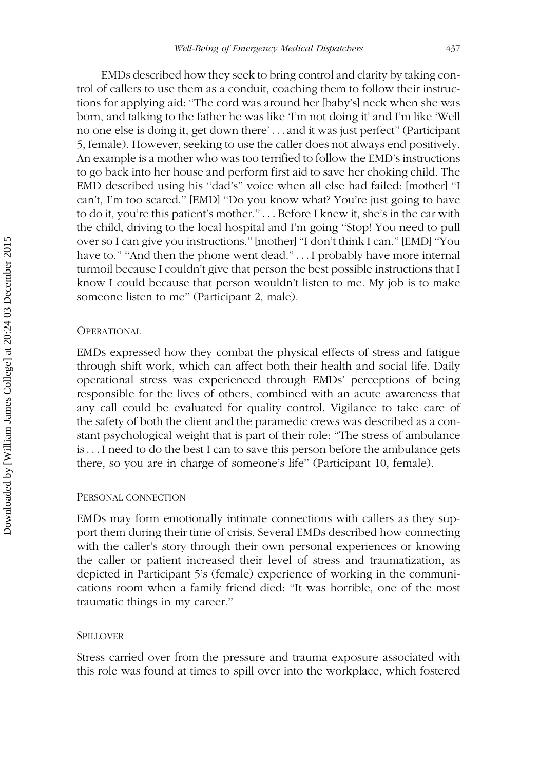EMDs described how they seek to bring control and clarity by taking control of callers to use them as a conduit, coaching them to follow their instructions for applying aid: ''The cord was around her [baby's] neck when she was born, and talking to the father he was like 'I'm not doing it' and I'm like 'Well no one else is doing it, get down there' ... and it was just perfect'' (Participant 5, female). However, seeking to use the caller does not always end positively. An example is a mother who was too terrified to follow the EMD's instructions to go back into her house and perform first aid to save her choking child. The EMD described using his ''dad's'' voice when all else had failed: [mother] ''I can't, I'm too scared.'' [EMD] ''Do you know what? You're just going to have to do it, you're this patient's mother.'' ... Before I knew it, she's in the car with the child, driving to the local hospital and I'm going ''Stop! You need to pull over so I can give you instructions.'' [mother] ''I don't think I can.'' [EMD] ''You have to." "And then the phone went dead." . . . I probably have more internal turmoil because I couldn't give that person the best possible instructions that I know I could because that person wouldn't listen to me. My job is to make someone listen to me'' (Participant 2, male).

#### OPERATIONAL

EMDs expressed how they combat the physical effects of stress and fatigue through shift work, which can affect both their health and social life. Daily operational stress was experienced through EMDs' perceptions of being responsible for the lives of others, combined with an acute awareness that any call could be evaluated for quality control. Vigilance to take care of the safety of both the client and the paramedic crews was described as a constant psychological weight that is part of their role: ''The stress of ambulance is... I need to do the best I can to save this person before the ambulance gets there, so you are in charge of someone's life'' (Participant 10, female).

#### PERSONAL CONNECTION

EMDs may form emotionally intimate connections with callers as they support them during their time of crisis. Several EMDs described how connecting with the caller's story through their own personal experiences or knowing the caller or patient increased their level of stress and traumatization, as depicted in Participant 5's (female) experience of working in the communications room when a family friend died: ''It was horrible, one of the most traumatic things in my career.''

#### SPILLOVER

Stress carried over from the pressure and trauma exposure associated with this role was found at times to spill over into the workplace, which fostered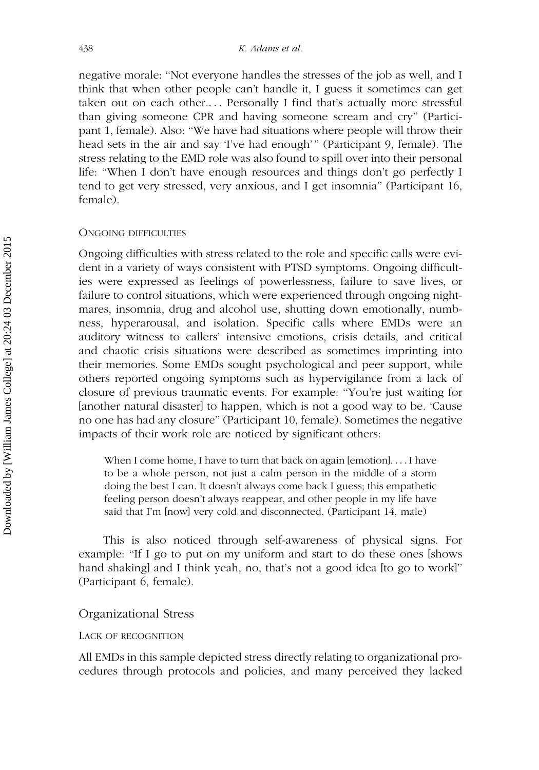negative morale: ''Not everyone handles the stresses of the job as well, and I think that when other people can't handle it, I guess it sometimes can get taken out on each other.... Personally I find that's actually more stressful than giving someone CPR and having someone scream and cry'' (Participant 1, female). Also: ''We have had situations where people will throw their head sets in the air and say 'I've had enough'" (Participant 9, female). The stress relating to the EMD role was also found to spill over into their personal life: ''When I don't have enough resources and things don't go perfectly I tend to get very stressed, very anxious, and I get insomnia'' (Participant 16, female).

#### ONGOING DIFFICULTIES

Ongoing difficulties with stress related to the role and specific calls were evident in a variety of ways consistent with PTSD symptoms. Ongoing difficulties were expressed as feelings of powerlessness, failure to save lives, or failure to control situations, which were experienced through ongoing nightmares, insomnia, drug and alcohol use, shutting down emotionally, numbness, hyperarousal, and isolation. Specific calls where EMDs were an auditory witness to callers' intensive emotions, crisis details, and critical and chaotic crisis situations were described as sometimes imprinting into their memories. Some EMDs sought psychological and peer support, while others reported ongoing symptoms such as hypervigilance from a lack of closure of previous traumatic events. For example: ''You're just waiting for [another natural disaster] to happen, which is not a good way to be. 'Cause no one has had any closure'' (Participant 10, female). Sometimes the negative impacts of their work role are noticed by significant others:

When I come home, I have to turn that back on again [emotion]. ... I have to be a whole person, not just a calm person in the middle of a storm doing the best I can. It doesn't always come back I guess; this empathetic feeling person doesn't always reappear, and other people in my life have said that I'm [now] very cold and disconnected. (Participant 14, male)

This is also noticed through self-awareness of physical signs. For example: ''If I go to put on my uniform and start to do these ones [shows hand shaking] and I think yeah, no, that's not a good idea [to go to work]'' (Participant 6, female).

#### Organizational Stress

#### LACK OF RECOGNITION

All EMDs in this sample depicted stress directly relating to organizational procedures through protocols and policies, and many perceived they lacked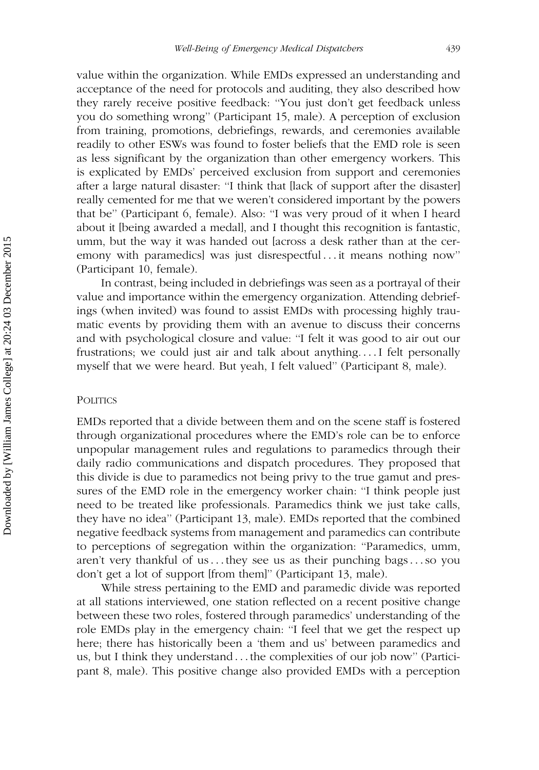value within the organization. While EMDs expressed an understanding and acceptance of the need for protocols and auditing, they also described how they rarely receive positive feedback: ''You just don't get feedback unless you do something wrong'' (Participant 15, male). A perception of exclusion from training, promotions, debriefings, rewards, and ceremonies available readily to other ESWs was found to foster beliefs that the EMD role is seen as less significant by the organization than other emergency workers. This is explicated by EMDs' perceived exclusion from support and ceremonies after a large natural disaster: ''I think that [lack of support after the disaster] really cemented for me that we weren't considered important by the powers that be'' (Participant 6, female). Also: ''I was very proud of it when I heard about it [being awarded a medal], and I thought this recognition is fantastic, umm, but the way it was handed out [across a desk rather than at the ceremony with paramedics] was just disrespectful ... it means nothing now'' (Participant 10, female).

In contrast, being included in debriefings was seen as a portrayal of their value and importance within the emergency organization. Attending debriefings (when invited) was found to assist EMDs with processing highly traumatic events by providing them with an avenue to discuss their concerns and with psychological closure and value: ''I felt it was good to air out our frustrations; we could just air and talk about anything. ... I felt personally myself that we were heard. But yeah, I felt valued'' (Participant 8, male).

#### **POLITICS**

EMDs reported that a divide between them and on the scene staff is fostered through organizational procedures where the EMD's role can be to enforce unpopular management rules and regulations to paramedics through their daily radio communications and dispatch procedures. They proposed that this divide is due to paramedics not being privy to the true gamut and pressures of the EMD role in the emergency worker chain: ''I think people just need to be treated like professionals. Paramedics think we just take calls, they have no idea'' (Participant 13, male). EMDs reported that the combined negative feedback systems from management and paramedics can contribute to perceptions of segregation within the organization: ''Paramedics, umm, aren't very thankful of us... they see us as their punching bags...so you don't get a lot of support [from them]'' (Participant 13, male).

While stress pertaining to the EMD and paramedic divide was reported at all stations interviewed, one station reflected on a recent positive change between these two roles, fostered through paramedics' understanding of the role EMDs play in the emergency chain: ''I feel that we get the respect up here; there has historically been a 'them and us' between paramedics and us, but I think they understand ... the complexities of our job now'' (Participant 8, male). This positive change also provided EMDs with a perception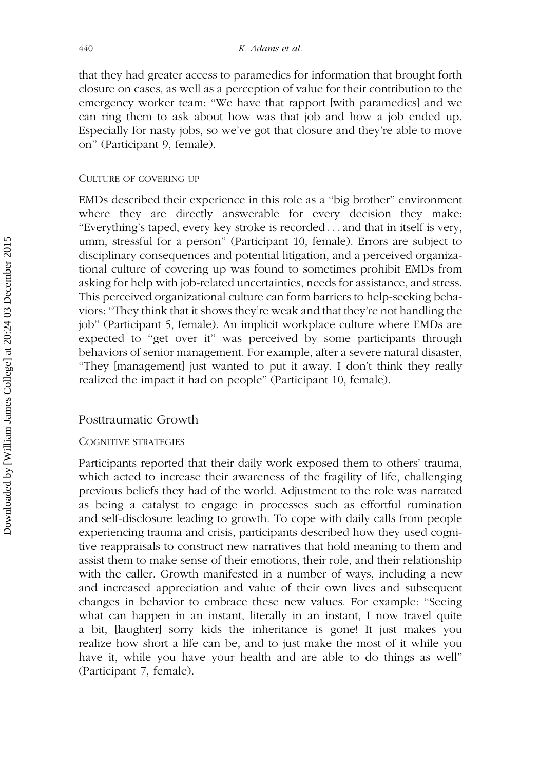that they had greater access to paramedics for information that brought forth closure on cases, as well as a perception of value for their contribution to the emergency worker team: ''We have that rapport [with paramedics] and we can ring them to ask about how was that job and how a job ended up. Especially for nasty jobs, so we've got that closure and they're able to move on'' (Participant 9, female).

### CULTURE OF COVERING UP

EMDs described their experience in this role as a ''big brother'' environment where they are directly answerable for every decision they make: ''Everything's taped, every key stroke is recorded ... and that in itself is very, umm, stressful for a person'' (Participant 10, female). Errors are subject to disciplinary consequences and potential litigation, and a perceived organizational culture of covering up was found to sometimes prohibit EMDs from asking for help with job-related uncertainties, needs for assistance, and stress. This perceived organizational culture can form barriers to help-seeking behaviors: ''They think that it shows they're weak and that they're not handling the job'' (Participant 5, female). An implicit workplace culture where EMDs are expected to "get over it" was perceived by some participants through behaviors of senior management. For example, after a severe natural disaster, ''They [management] just wanted to put it away. I don't think they really realized the impact it had on people'' (Participant 10, female).

#### Posttraumatic Growth

# COGNITIVE STRATEGIES

Participants reported that their daily work exposed them to others' trauma, which acted to increase their awareness of the fragility of life, challenging previous beliefs they had of the world. Adjustment to the role was narrated as being a catalyst to engage in processes such as effortful rumination and self-disclosure leading to growth. To cope with daily calls from people experiencing trauma and crisis, participants described how they used cognitive reappraisals to construct new narratives that hold meaning to them and assist them to make sense of their emotions, their role, and their relationship with the caller. Growth manifested in a number of ways, including a new and increased appreciation and value of their own lives and subsequent changes in behavior to embrace these new values. For example: ''Seeing what can happen in an instant, literally in an instant, I now travel quite a bit, [laughter] sorry kids the inheritance is gone! It just makes you realize how short a life can be, and to just make the most of it while you have it, while you have your health and are able to do things as well'' (Participant 7, female).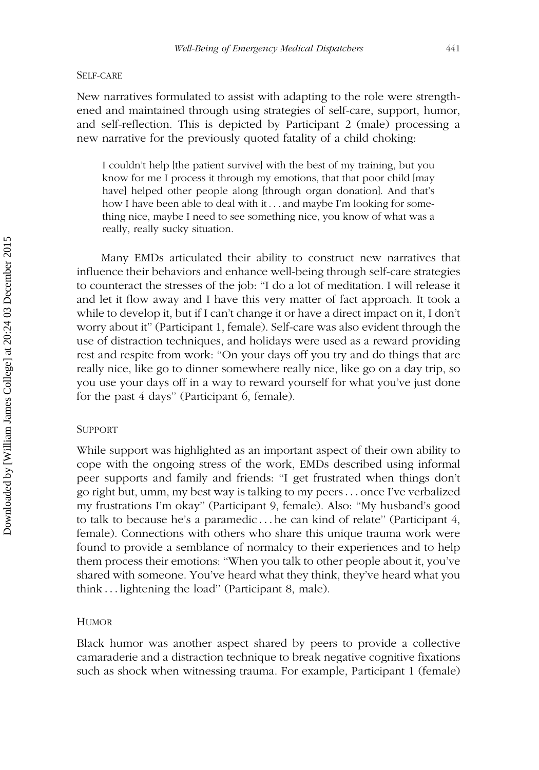#### SELF-CARE

New narratives formulated to assist with adapting to the role were strengthened and maintained through using strategies of self-care, support, humor, and self-reflection. This is depicted by Participant 2 (male) processing a new narrative for the previously quoted fatality of a child choking:

I couldn't help [the patient survive] with the best of my training, but you know for me I process it through my emotions, that that poor child [may have] helped other people along [through organ donation]. And that's how I have been able to deal with it ... and maybe I'm looking for something nice, maybe I need to see something nice, you know of what was a really, really sucky situation.

Many EMDs articulated their ability to construct new narratives that influence their behaviors and enhance well-being through self-care strategies to counteract the stresses of the job: ''I do a lot of meditation. I will release it and let it flow away and I have this very matter of fact approach. It took a while to develop it, but if I can't change it or have a direct impact on it, I don't worry about it'' (Participant 1, female). Self-care was also evident through the use of distraction techniques, and holidays were used as a reward providing rest and respite from work: ''On your days off you try and do things that are really nice, like go to dinner somewhere really nice, like go on a day trip, so you use your days off in a way to reward yourself for what you've just done for the past 4 days'' (Participant 6, female).

#### SUPPORT

While support was highlighted as an important aspect of their own ability to cope with the ongoing stress of the work, EMDs described using informal peer supports and family and friends: ''I get frustrated when things don't go right but, umm, my best way is talking to my peers... once I've verbalized my frustrations I'm okay'' (Participant 9, female). Also: ''My husband's good to talk to because he's a paramedic ... he can kind of relate'' (Participant 4, female). Connections with others who share this unique trauma work were found to provide a semblance of normalcy to their experiences and to help them process their emotions: ''When you talk to other people about it, you've shared with someone. You've heard what they think, they've heard what you think ... lightening the load'' (Participant 8, male).

#### **HUMOR**

Black humor was another aspect shared by peers to provide a collective camaraderie and a distraction technique to break negative cognitive fixations such as shock when witnessing trauma. For example, Participant 1 (female)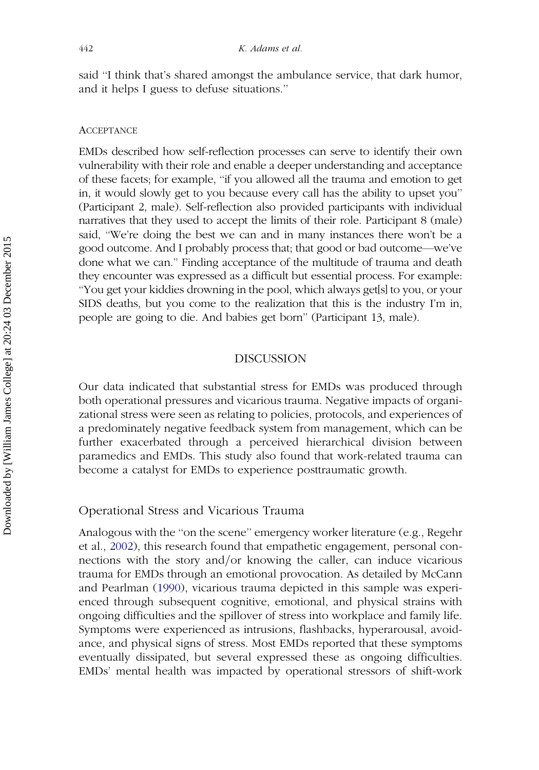said ''I think that's shared amongst the ambulance service, that dark humor, and it helps I guess to defuse situations.''

#### **ACCEPTANCE**

EMDs described how self-reflection processes can serve to identify their own vulnerability with their role and enable a deeper understanding and acceptance of these facets; for example, ''if you allowed all the trauma and emotion to get in, it would slowly get to you because every call has the ability to upset you'' (Participant 2, male). Self-reflection also provided participants with individual narratives that they used to accept the limits of their role. Participant 8 (male) said, ''We're doing the best we can and in many instances there won't be a good outcome. And I probably process that; that good or bad outcome—we've done what we can.'' Finding acceptance of the multitude of trauma and death they encounter was expressed as a difficult but essential process. For example: ''You get your kiddies drowning in the pool, which always get[s] to you, or your SIDS deaths, but you come to the realization that this is the industry I'm in, people are going to die. And babies get born'' (Participant 13, male).

# DISCUSSION

Our data indicated that substantial stress for EMDs was produced through both operational pressures and vicarious trauma. Negative impacts of organizational stress were seen as relating to policies, protocols, and experiences of a predominately negative feedback system from management, which can be further exacerbated through a perceived hierarchical division between paramedics and EMDs. This study also found that work-related trauma can become a catalyst for EMDs to experience posttraumatic growth.

# Operational Stress and Vicarious Trauma

Analogous with the "on the scene" emergency worker literature (e.g., Regehr et al., [2002](#page-18-0)), this research found that empathetic engagement, personal connections with the story and/or knowing the caller, can induce vicarious trauma for EMDs through an emotional provocation. As detailed by McCann and Pearlman ([1990\)](#page-18-0), vicarious trauma depicted in this sample was experienced through subsequent cognitive, emotional, and physical strains with ongoing difficulties and the spillover of stress into workplace and family life. Symptoms were experienced as intrusions, flashbacks, hyperarousal, avoidance, and physical signs of stress. Most EMDs reported that these symptoms eventually dissipated, but several expressed these as ongoing difficulties. EMDs' mental health was impacted by operational stressors of shift-work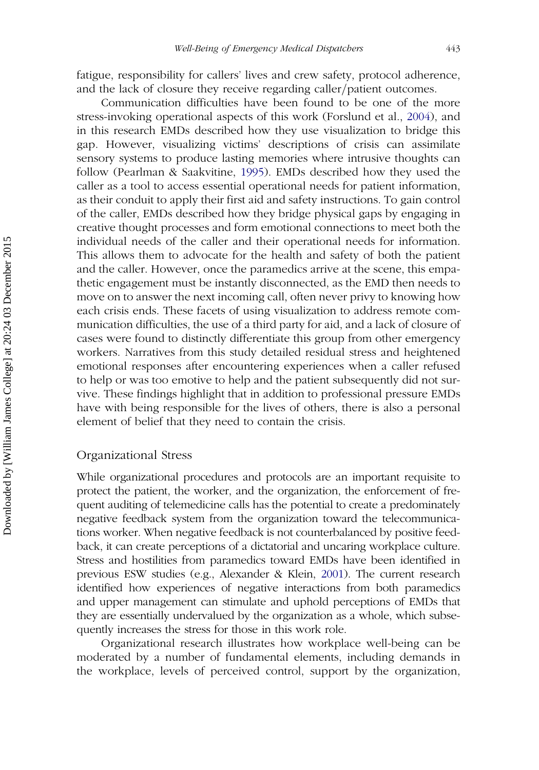fatigue, responsibility for callers' lives and crew safety, protocol adherence, and the lack of closure they receive regarding caller/patient outcomes.

Communication difficulties have been found to be one of the more stress-invoking operational aspects of this work (Forslund et al., [2004](#page-17-0)), and in this research EMDs described how they use visualization to bridge this gap. However, visualizing victims' descriptions of crisis can assimilate sensory systems to produce lasting memories where intrusive thoughts can follow (Pearlman & Saakvitine, [1995\)](#page-18-0). EMDs described how they used the caller as a tool to access essential operational needs for patient information, as their conduit to apply their first aid and safety instructions. To gain control of the caller, EMDs described how they bridge physical gaps by engaging in creative thought processes and form emotional connections to meet both the individual needs of the caller and their operational needs for information. This allows them to advocate for the health and safety of both the patient and the caller. However, once the paramedics arrive at the scene, this empathetic engagement must be instantly disconnected, as the EMD then needs to move on to answer the next incoming call, often never privy to knowing how each crisis ends. These facets of using visualization to address remote communication difficulties, the use of a third party for aid, and a lack of closure of cases were found to distinctly differentiate this group from other emergency workers. Narratives from this study detailed residual stress and heightened emotional responses after encountering experiences when a caller refused to help or was too emotive to help and the patient subsequently did not survive. These findings highlight that in addition to professional pressure EMDs have with being responsible for the lives of others, there is also a personal element of belief that they need to contain the crisis.

# Organizational Stress

While organizational procedures and protocols are an important requisite to protect the patient, the worker, and the organization, the enforcement of frequent auditing of telemedicine calls has the potential to create a predominately negative feedback system from the organization toward the telecommunications worker. When negative feedback is not counterbalanced by positive feedback, it can create perceptions of a dictatorial and uncaring workplace culture. Stress and hostilities from paramedics toward EMDs have been identified in previous ESW studies (e.g., Alexander & Klein, [2001](#page-17-0)). The current research identified how experiences of negative interactions from both paramedics and upper management can stimulate and uphold perceptions of EMDs that they are essentially undervalued by the organization as a whole, which subsequently increases the stress for those in this work role.

Organizational research illustrates how workplace well-being can be moderated by a number of fundamental elements, including demands in the workplace, levels of perceived control, support by the organization,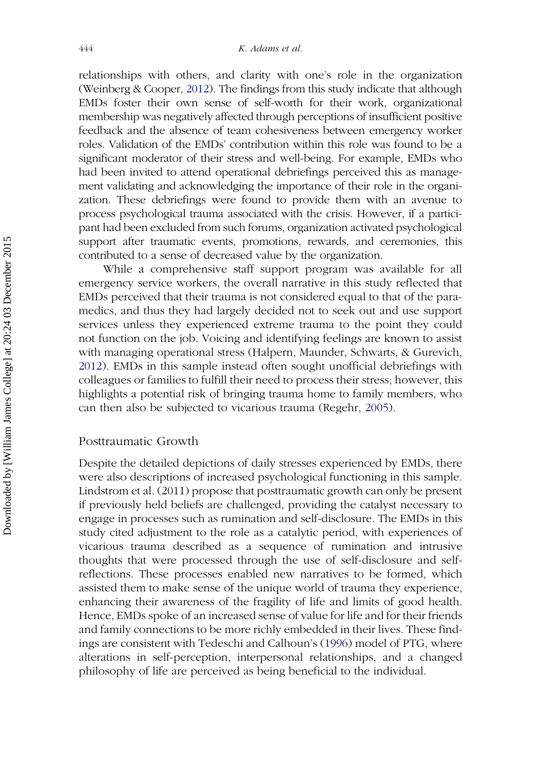relationships with others, and clarity with one's role in the organization (Weinberg & Cooper, [2012](#page-18-0)). The findings from this study indicate that although EMDs foster their own sense of self-worth for their work, organizational membership was negatively affected through perceptions of insufficient positive feedback and the absence of team cohesiveness between emergency worker roles. Validation of the EMDs' contribution within this role was found to be a significant moderator of their stress and well-being. For example, EMDs who had been invited to attend operational debriefings perceived this as management validating and acknowledging the importance of their role in the organization. These debriefings were found to provide them with an avenue to process psychological trauma associated with the crisis. However, if a participant had been excluded from such forums, organization activated psychological support after traumatic events, promotions, rewards, and ceremonies, this contributed to a sense of decreased value by the organization.

While a comprehensive staff support program was available for all emergency service workers, the overall narrative in this study reflected that EMDs perceived that their trauma is not considered equal to that of the paramedics, and thus they had largely decided not to seek out and use support services unless they experienced extreme trauma to the point they could not function on the job. Voicing and identifying feelings are known to assist with managing operational stress (Halpern, Maunder, Schwarts, & Gurevich, [2012\)](#page-17-0). EMDs in this sample instead often sought unofficial debriefings with colleagues or families to fulfill their need to process their stress; however, this highlights a potential risk of bringing trauma home to family members, who can then also be subjected to vicarious trauma (Regehr, [2005](#page-18-0)).

# Posttraumatic Growth

Despite the detailed depictions of daily stresses experienced by EMDs, there were also descriptions of increased psychological functioning in this sample. Lindstrom et al. (2011) propose that posttraumatic growth can only be present if previously held beliefs are challenged, providing the catalyst necessary to engage in processes such as rumination and self-disclosure. The EMDs in this study cited adjustment to the role as a catalytic period, with experiences of vicarious trauma described as a sequence of rumination and intrusive thoughts that were processed through the use of self-disclosure and selfreflections. These processes enabled new narratives to be formed, which assisted them to make sense of the unique world of trauma they experience, enhancing their awareness of the fragility of life and limits of good health. Hence, EMDs spoke of an increased sense of value for life and for their friends and family connections to be more richly embedded in their lives. These findings are consistent with Tedeschi and Calhoun's [\(1996](#page-18-0)) model of PTG, where alterations in self-perception, interpersonal relationships, and a changed philosophy of life are perceived as being beneficial to the individual.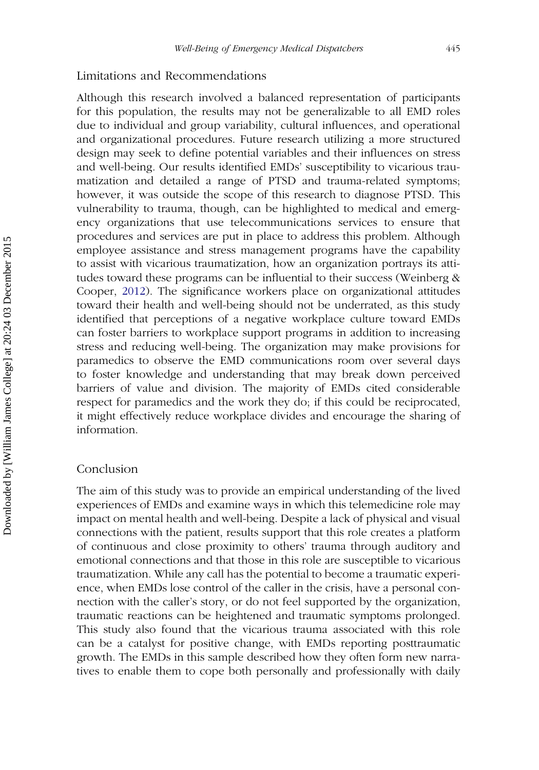# Limitations and Recommendations

Although this research involved a balanced representation of participants for this population, the results may not be generalizable to all EMD roles due to individual and group variability, cultural influences, and operational and organizational procedures. Future research utilizing a more structured design may seek to define potential variables and their influences on stress and well-being. Our results identified EMDs' susceptibility to vicarious traumatization and detailed a range of PTSD and trauma-related symptoms; however, it was outside the scope of this research to diagnose PTSD. This vulnerability to trauma, though, can be highlighted to medical and emergency organizations that use telecommunications services to ensure that procedures and services are put in place to address this problem. Although employee assistance and stress management programs have the capability to assist with vicarious traumatization, how an organization portrays its attitudes toward these programs can be influential to their success (Weinberg & Cooper, [2012\)](#page-18-0). The significance workers place on organizational attitudes toward their health and well-being should not be underrated, as this study identified that perceptions of a negative workplace culture toward EMDs can foster barriers to workplace support programs in addition to increasing stress and reducing well-being. The organization may make provisions for paramedics to observe the EMD communications room over several days to foster knowledge and understanding that may break down perceived barriers of value and division. The majority of EMDs cited considerable respect for paramedics and the work they do; if this could be reciprocated, it might effectively reduce workplace divides and encourage the sharing of information.

# Conclusion

The aim of this study was to provide an empirical understanding of the lived experiences of EMDs and examine ways in which this telemedicine role may impact on mental health and well-being. Despite a lack of physical and visual connections with the patient, results support that this role creates a platform of continuous and close proximity to others' trauma through auditory and emotional connections and that those in this role are susceptible to vicarious traumatization. While any call has the potential to become a traumatic experience, when EMDs lose control of the caller in the crisis, have a personal connection with the caller's story, or do not feel supported by the organization, traumatic reactions can be heightened and traumatic symptoms prolonged. This study also found that the vicarious trauma associated with this role can be a catalyst for positive change, with EMDs reporting posttraumatic growth. The EMDs in this sample described how they often form new narratives to enable them to cope both personally and professionally with daily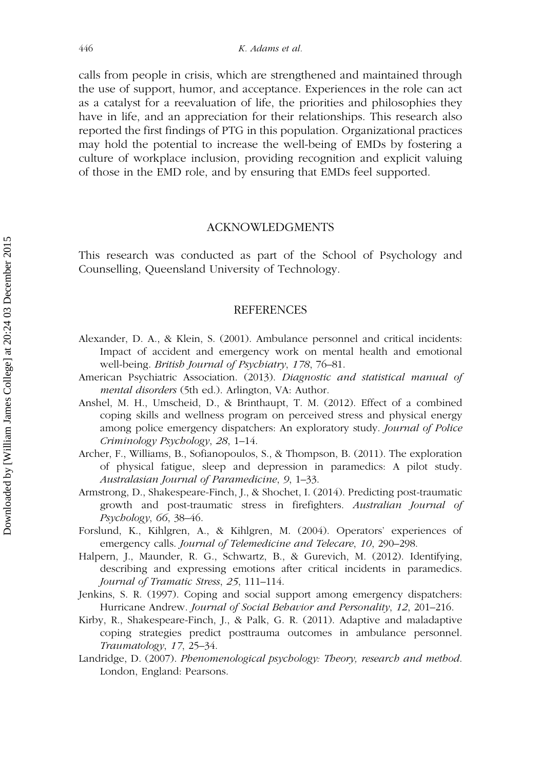<span id="page-17-0"></span>calls from people in crisis, which are strengthened and maintained through the use of support, humor, and acceptance. Experiences in the role can act as a catalyst for a reevaluation of life, the priorities and philosophies they have in life, and an appreciation for their relationships. This research also reported the first findings of PTG in this population. Organizational practices may hold the potential to increase the well-being of EMDs by fostering a culture of workplace inclusion, providing recognition and explicit valuing of those in the EMD role, and by ensuring that EMDs feel supported.

# ACKNOWLEDGMENTS

This research was conducted as part of the School of Psychology and Counselling, Queensland University of Technology.

#### **REFERENCES**

- Alexander, D. A., & Klein, S. (2001). Ambulance personnel and critical incidents: Impact of accident and emergency work on mental health and emotional well-being. British Journal of Psychiatry, 178, 76–81.
- American Psychiatric Association. (2013). Diagnostic and statistical manual of mental disorders (5th ed.). Arlington, VA: Author.
- Anshel, M. H., Umscheid, D., & Brinthaupt, T. M. (2012). Effect of a combined coping skills and wellness program on perceived stress and physical energy among police emergency dispatchers: An exploratory study. Journal of Police Criminology Psychology, 28, 1–14.
- Archer, F., Williams, B., Sofianopoulos, S., & Thompson, B. (2011). The exploration of physical fatigue, sleep and depression in paramedics: A pilot study. Australasian Journal of Paramedicine, 9, 1–33.
- Armstrong, D., Shakespeare-Finch, J., & Shochet, I. (2014). Predicting post-traumatic growth and post-traumatic stress in firefighters. Australian Journal of Psychology, 66, 38–46.
- Forslund, K., Kihlgren, A., & Kihlgren, M. (2004). Operators' experiences of emergency calls. Journal of Telemedicine and Telecare, 10, 290–298.
- Halpern, J., Maunder, R. G., Schwartz, B., & Gurevich, M. (2012). Identifying, describing and expressing emotions after critical incidents in paramedics. Journal of Tramatic Stress, 25, 111–114.
- Jenkins, S. R. (1997). Coping and social support among emergency dispatchers: Hurricane Andrew. Journal of Social Behavior and Personality, 12, 201–216.
- Kirby, R., Shakespeare-Finch, J., & Palk, G. R. (2011). Adaptive and maladaptive coping strategies predict posttrauma outcomes in ambulance personnel. Traumatology, 17, 25–34.
- Landridge, D. (2007). Phenomenological psychology: Theory, research and method. London, England: Pearsons.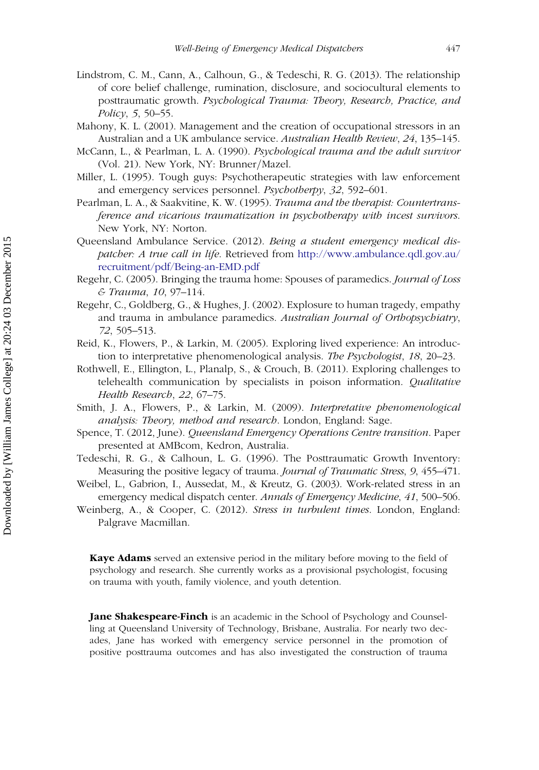- <span id="page-18-0"></span>Lindstrom, C. M., Cann, A., Calhoun, G., & Tedeschi, R. G. (2013). The relationship of core belief challenge, rumination, disclosure, and sociocultural elements to posttraumatic growth. Psychological Trauma: Theory, Research, Practice, and Policy, 5, 50–55.
- Mahony, K. L. (2001). Management and the creation of occupational stressors in an Australian and a UK ambulance service. Australian Health Review, 24, 135–145.
- McCann, L., & Pearlman, L. A. (1990). Psychological trauma and the adult survivor (Vol. 21). New York, NY: Brunner/Mazel.
- Miller, L. (1995). Tough guys: Psychotherapeutic strategies with law enforcement and emergency services personnel. Psychotherpy, 32, 592–601.
- Pearlman, L. A., & Saakvitine, K. W. (1995). Trauma and the therapist: Countertransference and vicarious traumatization in psychotherapy with incest survivors. New York, NY: Norton.
- Queensland Ambulance Service. (2012). Being a student emergency medical dispatcher: A true call in life. Retrieved from [http://www.ambulance.qdl.gov.au/](http://www.ambulance.qdl.gov.au/recruitment/pdf/Being-an-EMD.pdf) [recruitment/pdf/Being-an-EMD.pdf](http://www.ambulance.qdl.gov.au/recruitment/pdf/Being-an-EMD.pdf)
- Regehr, C. (2005). Bringing the trauma home: Spouses of paramedics. *Journal of Loss* & Trauma, 10, 97–114.
- Regehr, C., Goldberg, G., & Hughes, J. (2002). Explosure to human tragedy, empathy and trauma in ambulance paramedics. Australian Journal of Orthopsychiatry, 72, 505–513.
- Reid, K., Flowers, P., & Larkin, M. (2005). Exploring lived experience: An introduction to interpretative phenomenological analysis. The Psychologist, 18, 20–23.
- Rothwell, E., Ellington, L., Planalp, S., & Crouch, B. (2011). Exploring challenges to telehealth communication by specialists in poison information. Qualitative Health Research, 22, 67–75.
- Smith, J. A., Flowers, P., & Larkin, M. (2009). Interpretative phenomenological analysis: Theory, method and research. London, England: Sage.
- Spence, T. (2012, June). Queensland Emergency Operations Centre transition. Paper presented at AMBcom, Kedron, Australia.
- Tedeschi, R. G., & Calhoun, L. G. (1996). The Posttraumatic Growth Inventory: Measuring the positive legacy of trauma. Journal of Traumatic Stress, 9, 455–471.
- Weibel, L., Gabrion, I., Aussedat, M., & Kreutz, G. (2003). Work-related stress in an emergency medical dispatch center. Annals of Emergency Medicine, 41, 500-506.
- Weinberg, A., & Cooper, C. (2012). Stress in turbulent times. London, England: Palgrave Macmillan.

**Kaye Adams** served an extensive period in the military before moving to the field of psychology and research. She currently works as a provisional psychologist, focusing on trauma with youth, family violence, and youth detention.

**Jane Shakespeare-Finch** is an academic in the School of Psychology and Counselling at Queensland University of Technology, Brisbane, Australia. For nearly two decades, Jane has worked with emergency service personnel in the promotion of positive posttrauma outcomes and has also investigated the construction of trauma